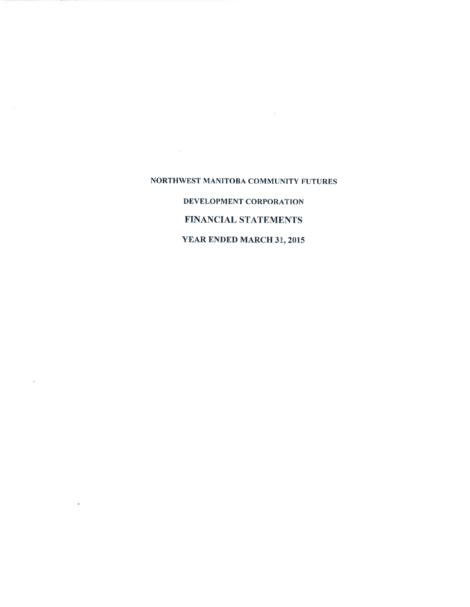# NORTHWEST MANITOBA COMMUNITY FUTURES

 $\label{eq:2.1} \mathbb{S}^1_{\mathbb{S}^1} \times \mathbb{S}^1_{\mathbb{S}^1} \times \mathbb{S}^1_{\mathbb{S}^1} \times \mathbb{S}^1_{\mathbb{S}^1} \times \mathbb{S}^1_{\mathbb{S}^1}$ 

 $\langle \hat{\mathbf{y}} \rangle$ 

s

 $\sim$  100  $\mu$ 

DEVELOPMENT CORPORATION FINANCIAL STATEMENTS YEAR ENDED MARCH 31, 2015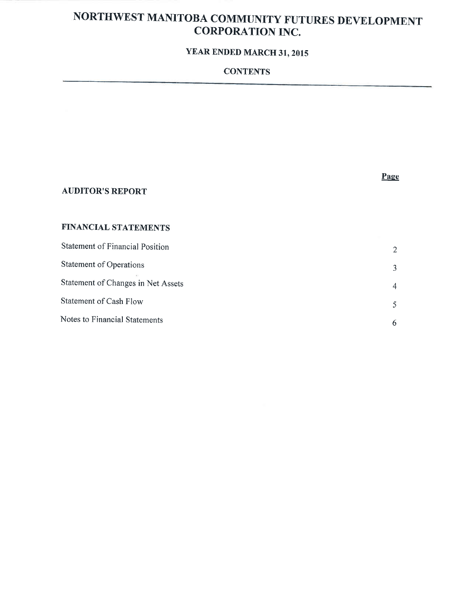# YEAR ENDED MARCH 31, 2015

#### **CONTENTS**

Page

#### **AUDITOR'S REPORT**

#### FINANCIAL STATEMENTS

| <b>Statement of Financial Position</b> | $\mathbf{2}$  |
|----------------------------------------|---------------|
| Statement of Operations                | $\mathcal{F}$ |
| Statement of Changes in Net Assets     | 4             |
| Statement of Cash Flow                 |               |
| Notes to Financial Statements          |               |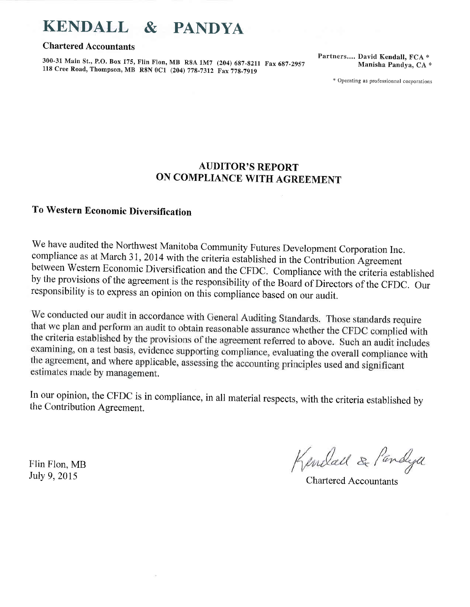# KENDALL & PANDYA

#### Chartered Accountants

300-31 Main St., P.O. Box 175, Flin Flon, MB R8A 1M7 (204) 687-8211 Fax 687-2957 118 Cree Road, Thompson, MB R8N 0C1 (204) 778-7312 Fax 778-7919

Fartners.... David Kendall, FCA \* Manisha Fandva. CA \*

+ Operating as professionnal corporations

# AUDITOR'S REPORT ON COMPLIANCE WITH AGREEMENT

# To Western Economic Diversification

We have audited the Northwest Manitoba Community Futures Development Corporation Inc.<br>compliance as at March 31, 2014 with the criteria established in the Contribution Agreement<br>between Western Economic Diversification and by the provisions of the agreement is the responsibility of the Board of Directors of the CFDC. Our responsibility is to express an opinion on this compliance based on our audit.

We conducted our audit in accordance with General Auditing Standards. Those standards require that we plan and perform an audit to obtain reasonable assurance whether the CFDC complied with the criteria established by the provisions of the agreement referred to above. Such an audit includes examining, on a test basis, evidence supporting compliance, evaluating the overall compliance with the agreement, and where applicable, assessing the accounting principles used and significant estimates made by management.

In our opinion, the CFDC is in compliance, in all material respects, with the criteria established by the Contribution Agreement.

Flin Flon, MB

Flin Flon, MB<br>July 9, 2015 Chartered Accountants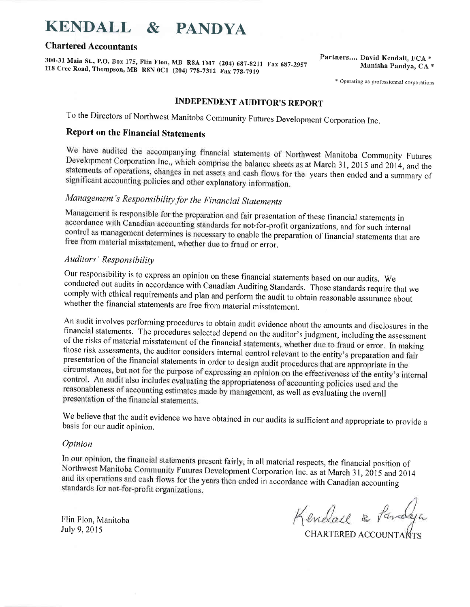# KENDALL & PANDYA

#### Chartered Accountants

300-31 Main St., P.O. Box 175, Flin Flon, MB R8A 1M7 (204) 687-8211 Fax 687-2957 118 Cree Road, Thompson, MB R8N 0C1 (204) 778-7312 Fax 778-7919

Fartners.... David Kendall, FCA \* Manisha Fandya, CA \*

\* Operating as professionnal corpor.ations

# INDEPENDENT AUDITOR'S REPORT

To the Directors of Northwest Manitoba community Futures Development corporation Inc.

# Report on the Financial Statements

We have audited the accompanying financial statements of Northwest Manitoba Community Futures Development Corporation Inc., which comprise the balance sheets as at March 31, 2015 and 2014, and the statements of operations, changes in net assets and cash flows for the years then ended and a summary of significant accounting policies and other explanatory information.

# Management's Responsibility for the Financial Statements

Management is responsible for the preparation and fair presentation of these financial statements in accordance with Canadian accounting standards for not-for-profit organizations, and for such internal control as management determines is necessary to enable the preparation of financial statements that are free from material misstatement, whether due to fraud or error.

#### Auditors' Responsibility

Our responsibility is to express an opinion on these financial statements based on our audits. We conducted out audits in accordance with Canadian Auditing Standards. Those standards require that we comply with ethical req

An audit involves performing procedures to obtain audit evidence about the amounts and disclosures in the financial statements. The procedures selected depend on the auditor's judgment, including the assessment of the risk those risk assessments, the auditor considers internal control relevant to the entity's preparation and fair presentation of the financial statements in order to design audit procedures that are appropriate in the circumstances, but not for the purpose of expressing an opinion on the effectiveness of the entity's internal control. An audit also includes evaluating the appropriateness of accounting policies used and the reasonableness of accounting estimates made by management, as well as evaluating the overall presentation of the financial statements.

We believe that the audit evidence we have obtained in our audits is sufficient and appropriate to provide a basis for our audit opinion.

#### Opinion

In our opinion, the financial statements present fairly, in all material respects, the financial position of Northwest Manitoba Community Futures Development Corporation Inc. as at March 31, 2015 and 2014 and its operations and cash flows for the years then ended in accordance with Canadian accounting standards for not-for-profit organizations.

Flin Flon, Manitoba<br>July 9, 2015 CHARTERED ACCOUNTANTS

Flin Flon, Manitoba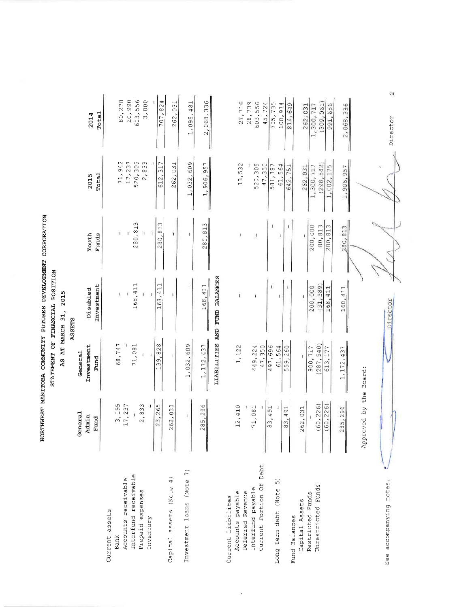|                                                   |                                |                          | NORTHWEST MANITOBA COMMUNITY FUTURES DEVELOPMENT CORPORATION |                   |                           |                                   |
|---------------------------------------------------|--------------------------------|--------------------------|--------------------------------------------------------------|-------------------|---------------------------|-----------------------------------|
|                                                   |                                |                          | STATEMENT OF FINANCIAL POSITION                              |                   |                           |                                   |
|                                                   |                                | AS                       | 2015<br>AT MARCH 31,                                         |                   |                           |                                   |
|                                                   |                                |                          | <b>ASSETS</b>                                                |                   |                           |                                   |
|                                                   | eneral                         | General                  |                                                              |                   |                           |                                   |
|                                                   | Admin<br>Fund                  | Investment<br>Fund       | Disabled                                                     | Youth             | 2015                      | 2014                              |
|                                                   |                                |                          | Investment                                                   | Funds             | Total                     | Total                             |
| Current assets                                    |                                |                          |                                                              |                   |                           |                                   |
| Bank                                              | 3,195                          | 68,747                   |                                                              |                   | 71,942                    | 80,278                            |
| receivable<br>Accounts                            | 17,237                         |                          |                                                              |                   | 17,237                    | 20,990                            |
| Interfund receivable                              |                                | 71,081                   | 168,411                                                      | 280,813           | 520,305                   | 603,556                           |
| Prepaid expenses                                  | 2,833                          |                          |                                                              |                   | 2,833                     | 3,000                             |
| Inventory                                         |                                | ţ                        |                                                              |                   |                           |                                   |
|                                                   | 23,265                         | 828<br>139,              | 168,411                                                      | 280,813           | 612, 317                  | 707,824                           |
| $\widehat{4}$<br>(Note<br>assets<br>Capital       | 262,031                        |                          |                                                              | 1                 | 262,031                   | 262,031                           |
| $\widehat{\mathcal{L}}$<br>Investment loans (Note | 1                              | 032,609<br>$\frac{1}{1}$ | t.                                                           | $\mathbb{I}$      | 609<br>032,<br>$\ddot{ }$ | 481<br>1,098,                     |
|                                                   | 296<br>285,                    | 1, 172, 437              | 168,411                                                      | 813<br>280,       | 906,957<br>급              | 336<br>2,068,                     |
|                                                   |                                |                          | LIABILITES AND FUND BALANCES                                 |                   |                           |                                   |
| Current Liabilites                                |                                |                          |                                                              |                   |                           |                                   |
| Accounts payable                                  | 12,410                         | 1,122                    | I.                                                           | χ                 | 13,532                    | 27,716                            |
| Deferred Revenue                                  |                                |                          |                                                              |                   |                           | 28,739                            |
| Interfund payable                                 | 71,081                         | 449,224                  |                                                              |                   | 520,305                   | 603,556                           |
| Debt<br>Current Portion Of                        | -1<br>491<br>$\overline{3}$ ,  | 497,696<br>47,350        |                                                              |                   | 47,350                    | 45,724                            |
| $\widehat{5}$<br>(Note<br>Long term debt          | -1                             | 564<br>61,               | л.                                                           |                   | 581,187                   | 705,735                           |
|                                                   | 491<br>$\tilde{3}$<br>$\infty$ | 559,260                  | $\mathbf{I}$                                                 | T.                | 61,564<br>642,751         | 814,649<br>108,914                |
| Capital Assets<br>Fund Balances                   | 262,031                        |                          |                                                              |                   |                           |                                   |
| Restricted Funds                                  |                                | 900,717                  | 200,000                                                      | 200,000           | 262,031<br>1,300,717      | 262,031<br>$\overline{1,300,717}$ |
| Unrestricted Funds                                | 226<br>(60, 226)<br>(60,       | 287,540)<br>177<br>613,  | (31, 589)<br>168, 411                                        | 80,813<br>280,813 | (298, 542)<br>1,002,175   | (309, 061)<br>991,656             |
|                                                   | 296<br>285,                    | 437<br>172,<br>$\vec{a}$ | 168,411                                                      | 280,813           | 1,906,957                 | 2,068,336                         |
|                                                   | oved by the Board:<br>Appr     |                          |                                                              |                   |                           |                                   |
|                                                   |                                |                          |                                                              |                   |                           |                                   |
| See accompanying notes.                           |                                |                          | Director                                                     |                   |                           | $\mathcal{Q}$<br>Director         |
|                                                   |                                |                          |                                                              |                   |                           |                                   |

 $\sim$  100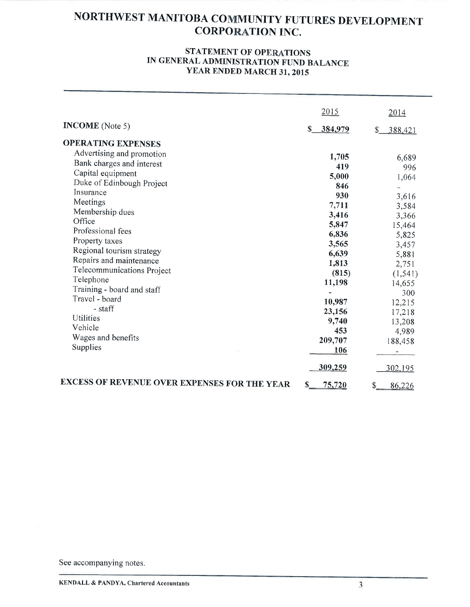# STATEMENT OF OPERATIONS IN GENERAL ADMINISTRATION FUND BALANCE YEAR ENDED MARCH 31, 2015

|                                              | 2015          | 2014             |
|----------------------------------------------|---------------|------------------|
| <b>INCOME</b> (Note 5)                       | S.<br>384,979 | \$<br>388,421    |
| <b>OPERATING EXPENSES</b>                    |               |                  |
| Advertising and promotion                    | 1,705         | 6,689            |
| Bank charges and interest                    | 419           | 996              |
| Capital equipment                            | 5,000         | 1,064            |
| Duke of Edinbough Project                    | 846           | z.               |
| Insurance                                    | 930           | 3,616            |
| Meetings                                     | 7,711         | 3,584            |
| Membership dues                              | 3,416         | 3,366            |
| Office                                       | 5,847         | 15,464           |
| Professional fees                            | 6,836         | 5,825            |
| Property taxes                               | 3,565         | 3,457            |
| Regional tourism strategy                    | 6,639         | 5,881            |
| Repairs and maintenance                      | 1,813         | 2,751            |
| Telecommunications Project                   | (815)         | (1, 541)         |
| Telephone                                    | 11,198        | 14,655           |
| Training - board and staff                   |               | 300              |
| Travel - board                               | 10,987        |                  |
| - staff                                      | 23,156        | 12,215<br>17,218 |
| Utilities                                    | 9,740         |                  |
| Vehicle                                      | 453           | 13,208<br>4,989  |
| Wages and benefits                           | 209,707       |                  |
| Supplies                                     | 106           | 188,458          |
|                                              |               |                  |
|                                              | 309,259       | 302,195          |
| EXCESS OF REVENUE OVER EXPENSES FOR THE YEAR | \$<br>75,720  | \$<br>86,226     |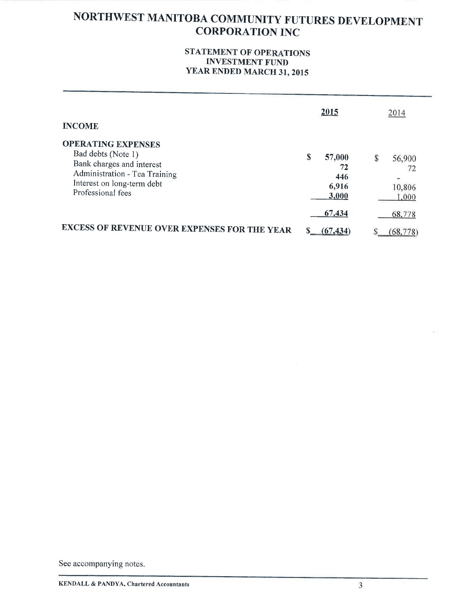## STATEMENT OF OPERATIONS INVESTMENT FUND YEAR ENDED MARCH 31, 2015

| <b>INCOME</b>                                                                                                                                                    |   | 2015                                  | 2014                                  |
|------------------------------------------------------------------------------------------------------------------------------------------------------------------|---|---------------------------------------|---------------------------------------|
| <b>OPERATING EXPENSES</b><br>Bad debts (Note 1)<br>Bank charges and interest<br>Administration - Tea Training<br>Interest on long-term debt<br>Professional fees | S | 57,000<br>72<br>446<br>6,916<br>3,000 | \$<br>56,900<br>72<br>10,806<br>1,000 |
| <b>EXCESS OF REVENUE OVER EXPENSES FOR THE YEAR</b>                                                                                                              | S | 67,434<br>(67, 434)                   | 68,778<br>(68, 778)                   |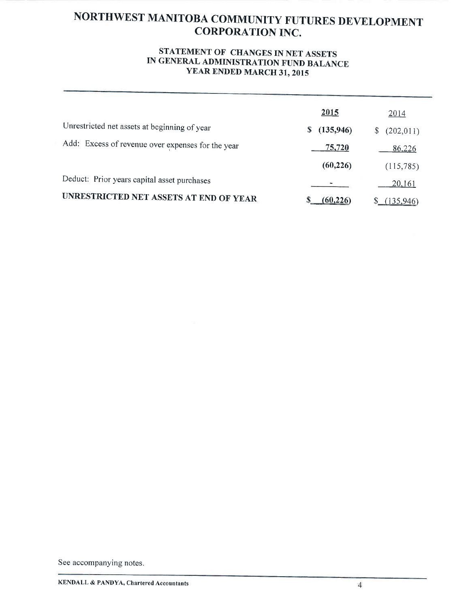# STATEMENT OF CHANGES IN NET ASSETS IN GENERAL ADMINISTRATION FUND BALANCE YEAR ENDED MARCH 31, 2015

|                                                   | 2015            | 2014          |
|---------------------------------------------------|-----------------|---------------|
| Unrestricted net assets at beginning of year      | (135, 946)<br>S | (202, 011)    |
| Add: Excess of revenue over expenses for the year | 75,720          | 86,226        |
|                                                   | (60, 226)       | (115, 785)    |
| Deduct: Prior years capital asset purchases       |                 | <u>20,161</u> |
| UNRESTRICTED NET ASSETS AT END OF YEAR            | (60, 226)       | (135,946)     |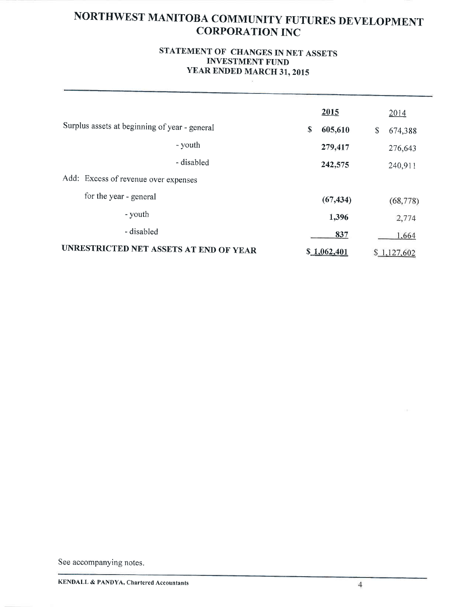# STATEMENT OF CHANGES IN NET ASSETS INVESTMENT FUND YEAR ENDED MARCH 31, 2015

|                                               | 2015          | 2014          |
|-----------------------------------------------|---------------|---------------|
| Surplus assets at beginning of year - general | \$<br>605,610 | \$<br>674,388 |
| - youth                                       | 279,417       | 276,643       |
| - disabled                                    | 242,575       | 240,911       |
| Add: Excess of revenue over expenses          |               |               |
| for the year - general                        | (67, 434)     | (68, 778)     |
| - youth                                       | 1,396         | 2,774         |
| - disabled                                    | 837           | 1,664         |
| UNRESTRICTED NET ASSETS AT END OF YEAR        | \$1,062,401   | \$1,127,602   |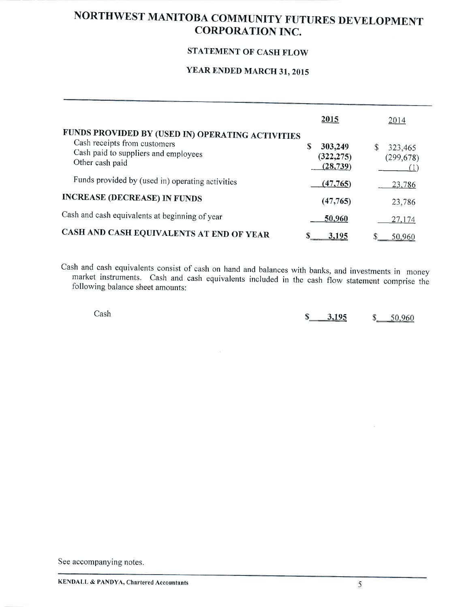# STATEMENT OF CASH FLOW

# YEAR ENDED MARCH 31, 2015

|                                                                                                                                             | 2015                                           | 2014                        |
|---------------------------------------------------------------------------------------------------------------------------------------------|------------------------------------------------|-----------------------------|
| FUNDS PROVIDED BY (USED IN) OPERATING ACTIVITIES<br>Cash receipts from customers<br>Cash paid to suppliers and employees<br>Other cash paid | <b>S</b><br>303,249<br>(322, 275)<br>(28, 739) | \$<br>323,465<br>(299, 678) |
| Funds provided by (used in) operating activities                                                                                            | (47,765)                                       | 23,786                      |
| <b>INCREASE (DECREASE) IN FUNDS</b>                                                                                                         | (47,765)                                       | 23,786                      |
| Cash and cash equivalents at beginning of year                                                                                              | 50,960                                         | 27,174                      |
| CASH AND CASH EQUIVALENTS AT END OF YEAR                                                                                                    | 3,195                                          | 50,960                      |

cash and eash equivalents eonsist of cash on hand and balances with banks, and investments in money market instruments. Cash and cash equivalents included in the cash flow statement comprise the following balance sheet amounts:

Cash

 $\frac{\$ 3,195}{\$ 50,960}$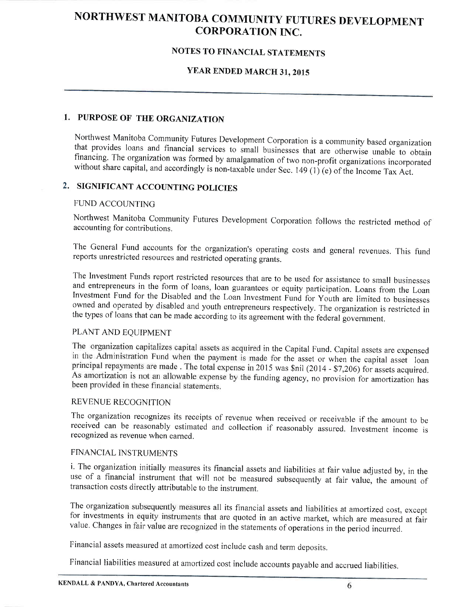# NOTES TO FINANCIAL STATEMENTS

### YEAR ENDED MARCH 31, 2015

# 1. PURPOSE OF THE ORGANIZATION

Northwest Manitoba Community Futures Development Corporation is a community based organization<br>that provides loans and financial services to small businesses that are otherwise unable to obtain<br>financing. The organization

# 2. SIGNIFICANT ACCOUNTING POLICIES

### FUND ACCOUNTING

Northwest Manitoba Community Futures Development Corporation follows the restricted method of accounting for contributions.

The General Fund accounts for the organization's operating costs and general revenues. This fund reports unrestricted resources and restricted operating grants.

The Investment Funds report restricted resources that are to be used for assistance to small businesses<br>and entrepreneurs in the form of loans, loan guarantees or equity participation. Loans from the Loan<br>Investment Fund f

## PLANT AND EQUIPMENT

The organization capitalizes capital assets as acquired in the Capital Fund. Capital assets are expensed in the Administration Fund when the payment is made for the asset or when the capital asset loan principal repayments are made. The total expense in 2015 was \$nil (2014 - \$7,206) for assets acquired. As amortization is not an allowable expense by the funding agency, no provision for amortization has been provided in these financial statements.

#### REVENUE RECOGNITION

The organization recognizes its receipts of revenue when received or receivable if the amount to be received can be reasonably estimated and collection if reasonably assured. Investment income is recognized as revenue when

#### FINANCIAL INSTRUMENTS

i. The organization initially measures its financial assets and liabilities at fair value adjusted by, in the use of a financial instrument that will not be measured subsequently at fair value, the amount of transaction costs directly attributable to the instrument.

The organization subsequently measures all its financial assets and liabilities at amortized cost, except for investments in equity instruments that are quoted in an active market, which are measured at fair value. Changes in fair value are recognized in the statements of operations in the period incurred.

Financial assets measured at amortized cost include cash and term deposits.

Financial liabilities measured at amortized cost include aecounts payable and accrued liabilities,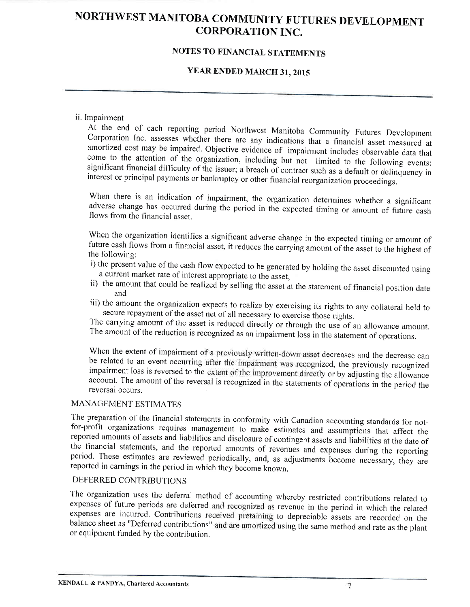# NOTES TO FINANCIAL STATEMENTS

### YEAR ENDED MARCH 31.2015

ii. Impairment<br>At the end of each reporting period Northwest Manitoba Community Futures Development Corporation Inc. assesses whether there are any indications that a financial asset measured at amortized cost may be impaired. Objective evidence of impairment includes observable data that come to the attention of the org

When there is an indication of impairment, the organization determines whether a significant adverse change has occurred during the period in the expected timing or amount of future cash flows from the financial asset.

When the organization identifies a significant adverse change in the expected timing or amount of future cash flows from a financial asset, it reduces the carrying amount of the asset to the highest of the following:

- i) the present value of the cash flow expected to be generated by holding the asset discounted using a current market rate of interest appropriate to the asset.
- ii) the amount that could be realized by selling the asset at the statement of financial position date and
- iii) the amount the organization expects to realize by exercising its rights to any collateral held to secure repayment of the asset net of all necessary to exercise those rights.<br>The carrying amount of the asset is reduced directly or through the use of an allowance amount.

The amount of the reduction is recognized as an impairment loss in the statement of operations.

When the extent of impairment of a previously written-down asset decreases and the decrease can<br>be related to an event occurring after the impairment was recognized, the previously recognized<br>impairment loss is reversed to

### MANAGEMENT ESTIMATES

The preparation of the financial statements in conformity with Canadian accounting standards for not-<br>for-profit organizations requires management to make estimates and assumptions that affect the<br>reported amounts of asset

# DEFERRED CONTRIBUTIONS

The organization uses the deferral method of accounting whereby restricted contributions related to expenses of future periods are deferred and recognized as revenue in the period in which the related expenses are incurred. Contributions received pretaining to depreciable assets are recorded on the balance sheet as "Deferred contributions" and are amortized using the same method and rate as the plant or equipment funded by the eontribution.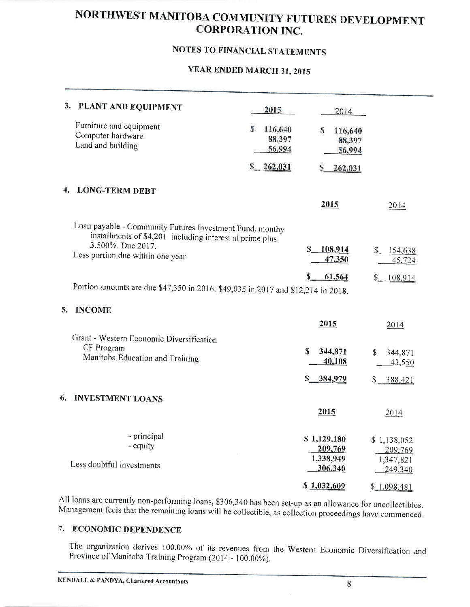# NOTES TO FINANCIAL STATEMENTS

# YEAR ENDED MARCH 31, 2015

|    | 3. PLANT AND EQUIPMENT                                                                                                                                                        | 2015                             | 2014                                           |                                                |
|----|-------------------------------------------------------------------------------------------------------------------------------------------------------------------------------|----------------------------------|------------------------------------------------|------------------------------------------------|
|    | Furniture and equipment<br>Computer hardware<br>Land and building                                                                                                             | S<br>116,640<br>88,397<br>56,994 | S<br>116,640<br>88,397<br>56,994               |                                                |
|    |                                                                                                                                                                               | \$262,031                        | 262,031<br>S                                   |                                                |
| 4. | <b>LONG-TERM DEBT</b>                                                                                                                                                         |                                  |                                                |                                                |
|    |                                                                                                                                                                               |                                  | 2015                                           | 2014                                           |
|    | Loan payable - Community Futures Investment Fund, monthy<br>installments of \$4,201 including interest at prime plus<br>3.500%. Due 2017.<br>Less portion due within one year |                                  | S.<br>108,914<br>47,350                        | \$<br>154,638<br>45,724                        |
|    | Portion amounts are due \$47,350 in 2016; \$49,035 in 2017 and \$12,214 in 2018.                                                                                              |                                  | S<br>61,564                                    | $\mathbb{S}^-$<br>108,914                      |
| 5. | <b>INCOME</b>                                                                                                                                                                 |                                  |                                                |                                                |
|    |                                                                                                                                                                               |                                  | 2015                                           | 2014                                           |
|    | Grant - Western Economic Diversification<br>CF Program<br>Manitoba Education and Training                                                                                     |                                  | $\mathbf S$<br>344,871<br>40,108               | $\mathcal{L}$<br>344,871<br>43,550             |
|    |                                                                                                                                                                               |                                  | \$ 384,979                                     | \$<br>388,421                                  |
| 6. | <b>INVESTMENT LOANS</b>                                                                                                                                                       |                                  |                                                |                                                |
|    |                                                                                                                                                                               |                                  | 2015                                           | 2014                                           |
|    | - principal<br>- equity<br>Less doubtful investments                                                                                                                          |                                  | \$1,129,180<br>209,769<br>1,338,949<br>306,340 | \$1,138,052<br>209,769<br>1,347,821<br>249,340 |
|    |                                                                                                                                                                               |                                  | \$1,032,609                                    | \$1,098,481                                    |

All loans are currently non-performing loans, \$306,340 has been set-up as an allowance for uncollectibles. Management feels that the remaining loans will be collectible, as collection proceedings have commenced.

### 7. ECONOMIC DEPENDENCE

The organization derives 100.00% of its revenues from the Western Economic Diversification and Province of Manitoba Training Program (2014 - 100.00%).